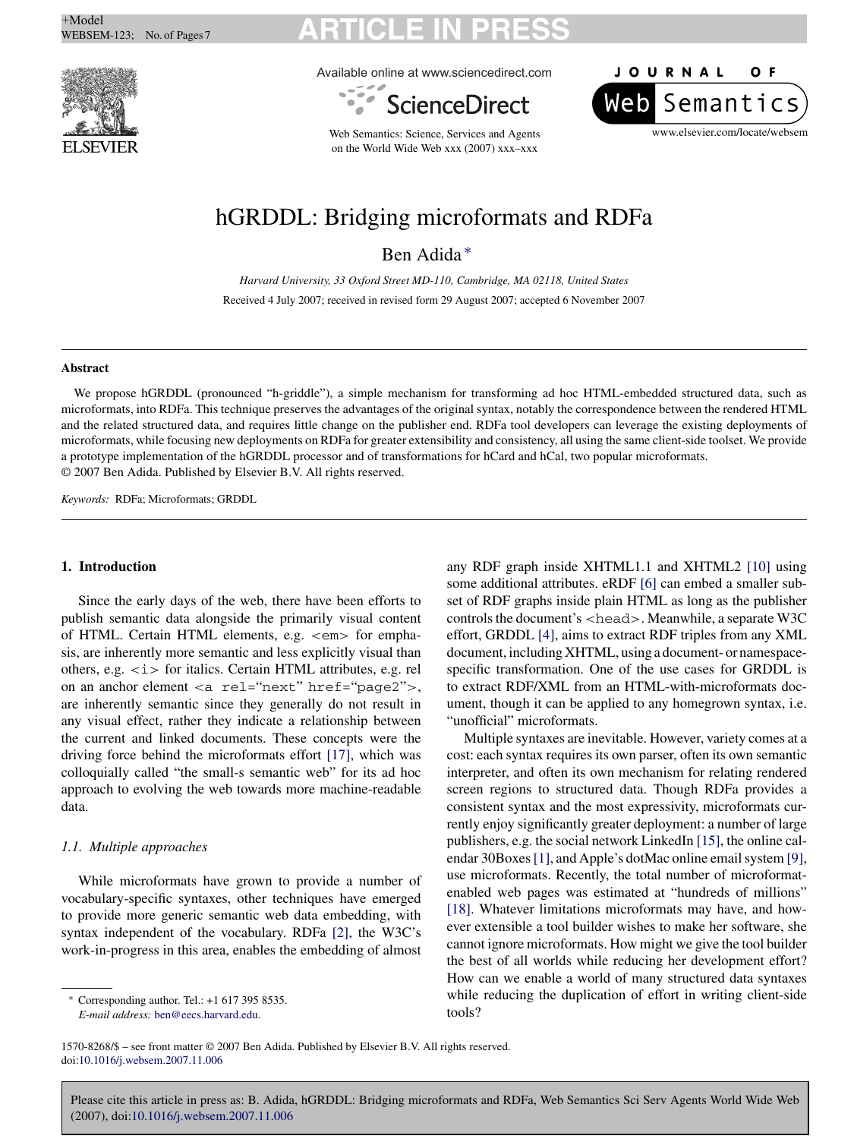**FI SEVIER** 

Available online at www.sciencedirect.com



Web Semantics: Science, Services and Agents on the World Wide Web xxx (2007) xxx–xxx



# hGRDDL: Bridging microformats and RDFa

Ben Adida ∗

*Harvard University, 33 Oxford Street MD-110, Cambridge, MA 02118, United States* Received 4 July 2007; received in revised form 29 August 2007; accepted 6 November 2007

### **Abstract**

We propose hGRDDL (pronounced "h-griddle"), a simple mechanism for transforming ad hoc HTML-embedded structured data, such as microformats, into RDFa. This technique preserves the advantages of the original syntax, notably the correspondence between the rendered HTML and the related structured data, and requires little change on the publisher end. RDFa tool developers can leverage the existing deployments of microformats, while focusing new deployments on RDFa for greater extensibility and consistency, all using the same client-side toolset. We provide a prototype implementation of the hGRDDL processor and of transformations for hCard and hCal, two popular microformats. © 2007 Ben Adida. Published by Elsevier B.V. All rights reserved.

*Keywords:* RDFa; Microformats; GRDDL

### **1. Introduction**

Since the early days of the web, there have been efforts to publish semantic data alongside the primarily visual content of HTML. Certain HTML elements, e.g. <em> for emphasis, are inherently more semantic and less explicitly visual than others, e.g.  $\langle i \rangle$  for italics. Certain HTML attributes, e.g. rel on an anchor element <a rel="next" href="page2">, are inherently semantic since they generally do not result in any visual effect, rather they indicate a relationship between the current and linked documents. These concepts were the driving force behind the microformats effort [\[17\],](#page-6-0) which was colloquially called "the small-s semantic web" for its ad hoc approach to evolving the web towards more machine-readable data.

# *1.1. Multiple approaches*

While microformats have grown to provide a number of vocabulary-specific syntaxes, other techniques have emerged to provide more generic semantic web data embedding, with syntax independent of the vocabulary. RDFa [\[2\],](#page-5-0) the W3C's work-in-progress in this area, enables the embedding of almost

any RDF graph inside XHTML1.1 and XHTML2 [\[10\]](#page-6-0) using some additional attributes. eRDF [\[6\]](#page-5-0) can embed a smaller subset of RDF graphs inside plain HTML as long as the publisher controls the document's <head>. Meanwhile, a separate W3C effort, GRDDL [\[4\], a](#page-5-0)ims to extract RDF triples from any XML document, including XHTML, using a document- or namespacespecific transformation. One of the use cases for GRDDL is to extract RDF/XML from an HTML-with-microformats document, though it can be applied to any homegrown syntax, i.e. "unofficial" microformats.

Multiple syntaxes are inevitable. However, variety comes at a cost: each syntax requires its own parser, often its own semantic interpreter, and often its own mechanism for relating rendered screen regions to structured data. Though RDFa provides a consistent syntax and the most expressivity, microformats currently enjoy significantly greater deployment: a number of large publishers, e.g. the social network LinkedIn [\[15\], t](#page-6-0)he online calendar 30Boxes[\[1\], a](#page-5-0)nd Apple's dotMac online email system [\[9\],](#page-6-0) use microformats. Recently, the total number of microformatenabled web pages was estimated at "hundreds of millions" [\[18\].](#page-6-0) Whatever limitations microformats may have, and however extensible a tool builder wishes to make her software, she cannot ignore microformats. How might we give the tool builder the best of all worlds while reducing her development effort? How can we enable a world of many structured data syntaxes while reducing the duplication of effort in writing client-side tools?

1570-8268/\$ – see front matter © 2007 Ben Adida. Published by Elsevier B.V. All rights reserved. doi[:10.1016/j.websem.2007.11.006](dx.doi.org/10.1016/j.websem.2007.11.006)

<sup>∗</sup> Corresponding author. Tel.: +1 617 395 8535.

*E-mail address:* [ben@eecs.harvard.edu.](mailto:ben@eecs.harvard.edu)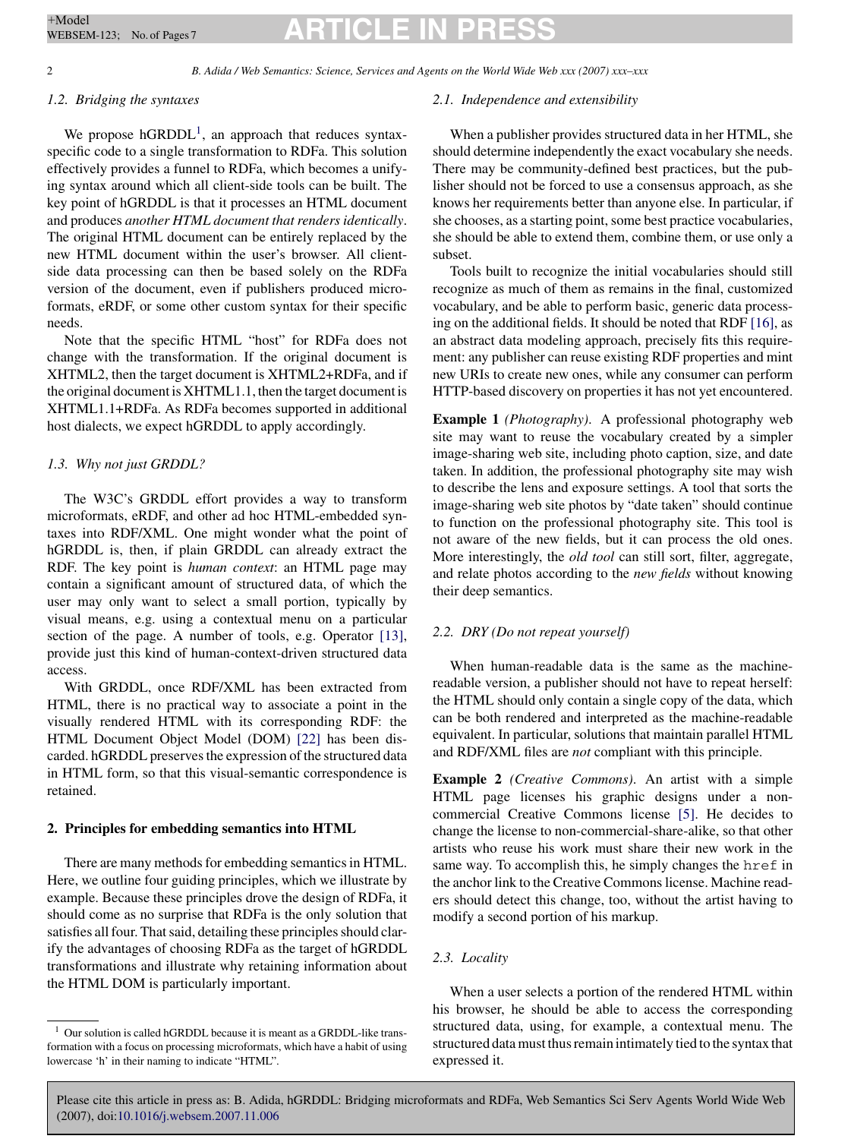2 *B. Adida / Web Semantics: Science, Services and Agents on the World Wide Web xxx (2007) xxx–xxx*

## *1.2. Bridging the syntaxes*

We propose  $h$ GRDDL<sup>1</sup>, an approach that reduces syntaxspecific code to a single transformation to RDFa. This solution effectively provides a funnel to RDFa, which becomes a unifying syntax around which all client-side tools can be built. The key point of hGRDDL is that it processes an HTML document and produces *another HTML document that renders identically*. The original HTML document can be entirely replaced by the new HTML document within the user's browser. All clientside data processing can then be based solely on the RDFa version of the document, even if publishers produced microformats, eRDF, or some other custom syntax for their specific needs.

Note that the specific HTML "host" for RDFa does not change with the transformation. If the original document is XHTML2, then the target document is XHTML2+RDFa, and if the original document is XHTML1.1, then the target document is XHTML1.1+RDFa. As RDFa becomes supported in additional host dialects, we expect hGRDDL to apply accordingly.

# *1.3. Why not just GRDDL?*

The W3C's GRDDL effort provides a way to transform microformats, eRDF, and other ad hoc HTML-embedded syntaxes into RDF/XML. One might wonder what the point of hGRDDL is, then, if plain GRDDL can already extract the RDF. The key point is *human context*: an HTML page may contain a significant amount of structured data, of which the user may only want to select a small portion, typically by visual means, e.g. using a contextual menu on a particular section of the page. A number of tools, e.g. Operator [\[13\],](#page-6-0) provide just this kind of human-context-driven structured data access.

With GRDDL, once RDF/XML has been extracted from HTML, there is no practical way to associate a point in the visually rendered HTML with its corresponding RDF: the HTML Document Object Model (DOM) [\[22\]](#page-6-0) has been discarded. hGRDDL preserves the expression of the structured data in HTML form, so that this visual-semantic correspondence is retained.

# **2. Principles for embedding semantics into HTML**

There are many methods for embedding semantics in HTML. Here, we outline four guiding principles, which we illustrate by example. Because these principles drove the design of RDFa, it should come as no surprise that RDFa is the only solution that satisfies all four. That said, detailing these principles should clarify the advantages of choosing RDFa as the target of hGRDDL transformations and illustrate why retaining information about the HTML DOM is particularly important.

### *2.1. Independence and extensibility*

When a publisher provides structured data in her HTML, she should determine independently the exact vocabulary she needs. There may be community-defined best practices, but the publisher should not be forced to use a consensus approach, as she knows her requirements better than anyone else. In particular, if she chooses, as a starting point, some best practice vocabularies, she should be able to extend them, combine them, or use only a subset.

Tools built to recognize the initial vocabularies should still recognize as much of them as remains in the final, customized vocabulary, and be able to perform basic, generic data processing on the additional fields. It should be noted that RDF [\[16\], a](#page-6-0)s an abstract data modeling approach, precisely fits this requirement: any publisher can reuse existing RDF properties and mint new URIs to create new ones, while any consumer can perform HTTP-based discovery on properties it has not yet encountered.

**Example 1** *(Photography)*. A professional photography web site may want to reuse the vocabulary created by a simpler image-sharing web site, including photo caption, size, and date taken. In addition, the professional photography site may wish to describe the lens and exposure settings. A tool that sorts the image-sharing web site photos by "date taken" should continue to function on the professional photography site. This tool is not aware of the new fields, but it can process the old ones. More interestingly, the *old tool* can still sort, filter, aggregate, and relate photos according to the *new fields* without knowing their deep semantics.

# *2.2. DRY (Do not repeat yourself)*

When human-readable data is the same as the machinereadable version, a publisher should not have to repeat herself: the HTML should only contain a single copy of the data, which can be both rendered and interpreted as the machine-readable equivalent. In particular, solutions that maintain parallel HTML and RDF/XML files are *not* compliant with this principle.

**Example 2** *(Creative Commons)*. An artist with a simple HTML page licenses his graphic designs under a noncommercial Creative Commons license [\[5\].](#page-5-0) He decides to change the license to non-commercial-share-alike, so that other artists who reuse his work must share their new work in the same way. To accomplish this, he simply changes the href in the anchor link to the Creative Commons license. Machine readers should detect this change, too, without the artist having to modify a second portion of his markup.

# *2.3. Locality*

When a user selects a portion of the rendered HTML within his browser, he should be able to access the corresponding structured data, using, for example, a contextual menu. The structured data must thus remain intimately tied to the syntax that expressed it.

 $1$  Our solution is called hGRDDL because it is meant as a GRDDL-like transformation with a focus on processing microformats, which have a habit of using lowercase 'h' in their naming to indicate "HTML".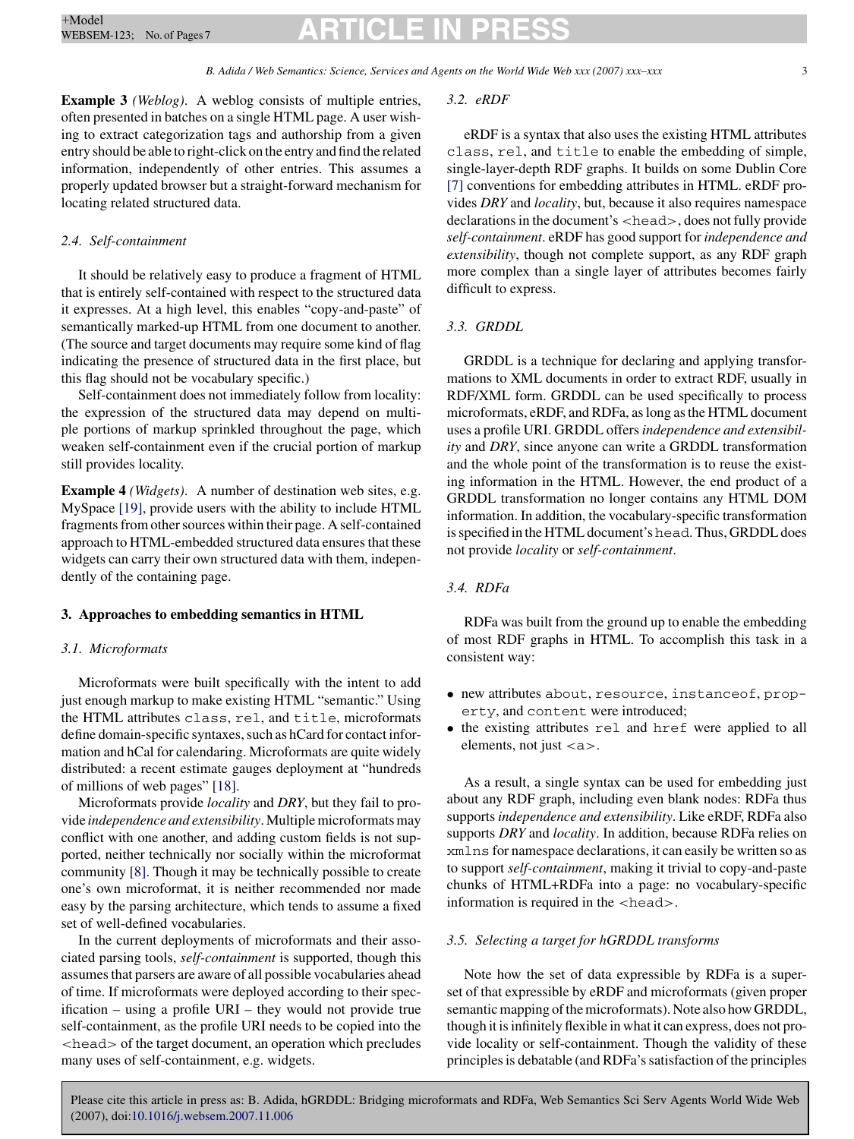**Example 3** *(Weblog)*. A weblog consists of multiple entries, often presented in batches on a single HTML page. A user wishing to extract categorization tags and authorship from a given entry should be able to right-click on the entry and find the related information, independently of other entries. This assumes a properly updated browser but a straight-forward mechanism for locating related structured data.

# *2.4. Self-containment*

It should be relatively easy to produce a fragment of HTML that is entirely self-contained with respect to the structured data it expresses. At a high level, this enables "copy-and-paste" of semantically marked-up HTML from one document to another. (The source and target documents may require some kind of flag indicating the presence of structured data in the first place, but this flag should not be vocabulary specific.)

Self-containment does not immediately follow from locality: the expression of the structured data may depend on multiple portions of markup sprinkled throughout the page, which weaken self-containment even if the crucial portion of markup still provides locality.

**Example 4** *(Widgets)*. A number of destination web sites, e.g. MySpace [\[19\],](#page-6-0) provide users with the ability to include HTML fragments from other sources within their page. A self-contained approach to HTML-embedded structured data ensures that these widgets can carry their own structured data with them, independently of the containing page.

# **3. Approaches to embedding semantics in HTML**

# *3.1. Microformats*

Microformats were built specifically with the intent to add just enough markup to make existing HTML "semantic." Using the HTML attributes class, rel, and title, microformats define domain-specific syntaxes, such as hCard for contact information and hCal for calendaring. Microformats are quite widely distributed: a recent estimate gauges deployment at "hundreds of millions of web pages" [\[18\].](#page-6-0)

Microformats provide *locality* and *DRY*, but they fail to provide *independence and extensibility*. Multiple microformats may conflict with one another, and adding custom fields is not supported, neither technically nor socially within the microformat community [\[8\]. T](#page-6-0)hough it may be technically possible to create one's own microformat, it is neither recommended nor made easy by the parsing architecture, which tends to assume a fixed set of well-defined vocabularies.

In the current deployments of microformats and their associated parsing tools, *self-containment* is supported, though this assumes that parsers are aware of all possible vocabularies ahead of time. If microformats were deployed according to their specification – using a profile URI – they would not provide true self-containment, as the profile URI needs to be copied into the <head> of the target document, an operation which precludes many uses of self-containment, e.g. widgets.

# *3.2. eRDF*

eRDF is a syntax that also uses the existing HTML attributes class, rel, and title to enable the embedding of simple, single-layer-depth RDF graphs. It builds on some Dublin Core [\[7\]](#page-5-0) conventions for embedding attributes in HTML. eRDF provides *DRY* and *locality*, but, because it also requires namespace declarations in the document's  $\langle$ head $\rangle$ , does not fully provide *self-containment*. eRDF has good support for *independence and extensibility*, though not complete support, as any RDF graph more complex than a single layer of attributes becomes fairly difficult to express.

# *3.3. GRDDL*

GRDDL is a technique for declaring and applying transformations to XML documents in order to extract RDF, usually in RDF/XML form. GRDDL can be used specifically to process microformats, eRDF, and RDFa, as long as the HTML document uses a profile URI. GRDDL offers *independence and extensibility* and *DRY*, since anyone can write a GRDDL transformation and the whole point of the transformation is to reuse the existing information in the HTML. However, the end product of a GRDDL transformation no longer contains any HTML DOM information. In addition, the vocabulary-specific transformation is specified in the HTML document's head. Thus, GRDDL does not provide *locality* or *self-containment*.

# *3.4. RDFa*

RDFa was built from the ground up to enable the embedding of most RDF graphs in HTML. To accomplish this task in a consistent way:

- new attributes about, resource, instanceof, property, and content were introduced;
- the existing attributes rel and href were applied to all elements, not just  $\langle a \rangle$ .

As a result, a single syntax can be used for embedding just about any RDF graph, including even blank nodes: RDFa thus supports *independence and extensibility*. Like eRDF, RDFa also supports *DRY* and *locality*. In addition, because RDFa relies on xmlns for namespace declarations, it can easily be written so as to support *self-containment*, making it trivial to copy-and-paste chunks of HTML+RDFa into a page: no vocabulary-specific information is required in the <head>.

# *3.5. Selecting a target for hGRDDL transforms*

Note how the set of data expressible by RDFa is a superset of that expressible by eRDF and microformats (given proper semantic mapping of the microformats). Note also how GRDDL, though it is infinitely flexible in what it can express, does not provide locality or self-containment. Though the validity of these principles is debatable (and RDFa's satisfaction of the principles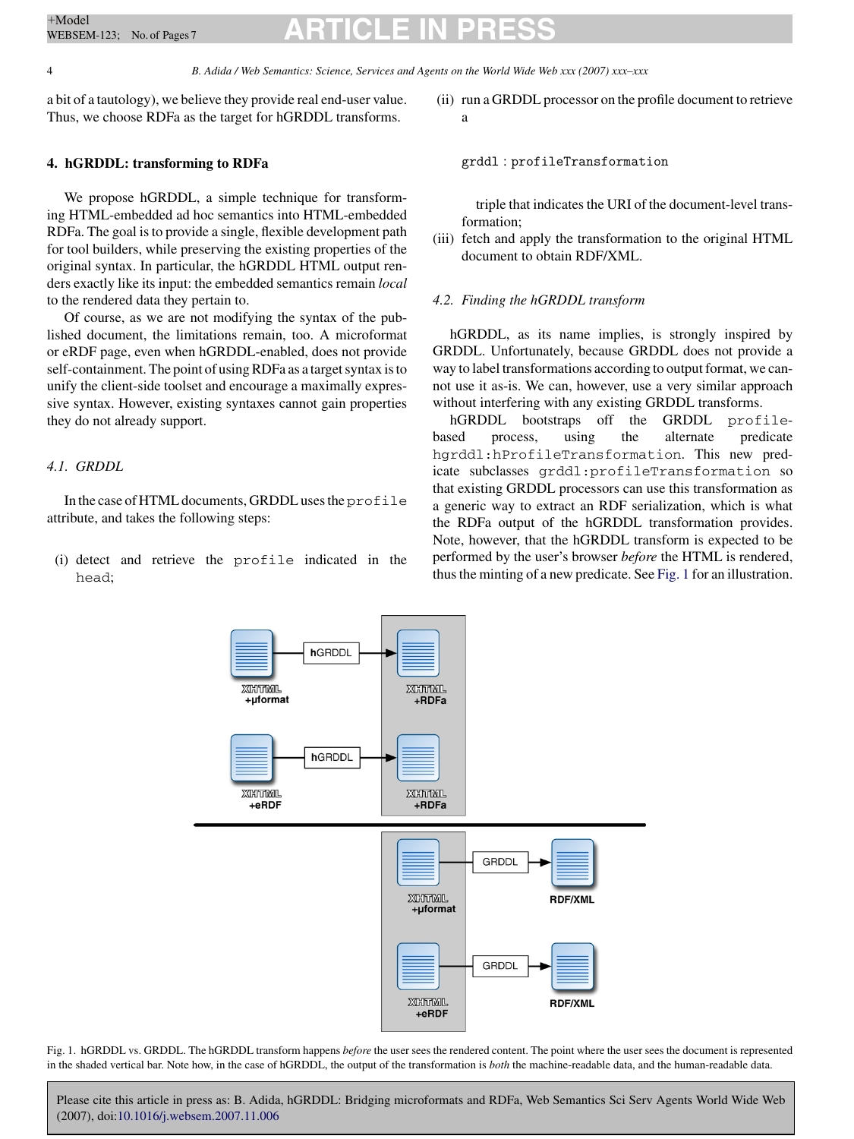4 *B. Adida / Web Semantics: Science, Services and Agents on the World Wide Web xxx (2007) xxx–xxx*

a bit of a tautology), we believe they provide real end-user value. Thus, we choose RDFa as the target for hGRDDL transforms.

### **4. hGRDDL: transforming to RDFa**

We propose hGRDDL, a simple technique for transforming HTML-embedded ad hoc semantics into HTML-embedded RDFa. The goal is to provide a single, flexible development path for tool builders, while preserving the existing properties of the original syntax. In particular, the hGRDDL HTML output renders exactly like its input: the embedded semantics remain *local* to the rendered data they pertain to.

Of course, as we are not modifying the syntax of the published document, the limitations remain, too. A microformat or eRDF page, even when hGRDDL-enabled, does not provide self-containment. The point of using RDFa as a target syntax is to unify the client-side toolset and encourage a maximally expressive syntax. However, existing syntaxes cannot gain properties they do not already support.

### *4.1. GRDDL*

In the case of HTML documents, GRDDL uses the profile attribute, and takes the following steps:

(i) detect and retrieve the profile indicated in the head;

(ii) run a GRDDL processor on the profile document to retrieve a

grddl : profileTransformation

triple that indicates the URI of the document-level transformation;

(iii) fetch and apply the transformation to the original HTML document to obtain RDF/XML.

#### *4.2. Finding the hGRDDL transform*

hGRDDL, as its name implies, is strongly inspired by GRDDL. Unfortunately, because GRDDL does not provide a way to label transformations according to output format, we cannot use it as-is. We can, however, use a very similar approach without interfering with any existing GRDDL transforms.

hGRDDL bootstraps off the GRDDL profilebased process, using the alternate predicate hgrddl:hProfileTransformation. This new predicate subclasses grddl:profileTransformation so that existing GRDDL processors can use this transformation as a generic way to extract an RDF serialization, which is what the RDFa output of the hGRDDL transformation provides. Note, however, that the hGRDDL transform is expected to be performed by the user's browser *before* the HTML is rendered, thus the minting of a new predicate. See Fig. 1 for an illustration.



Fig. 1. hGRDDL vs. GRDDL. The hGRDDL transform happens *before* the user sees the rendered content. The point where the user sees the document is represented in the shaded vertical bar. Note how, in the case of hGRDDL, the output of the transformation is *both* the machine-readable data, and the human-readable data.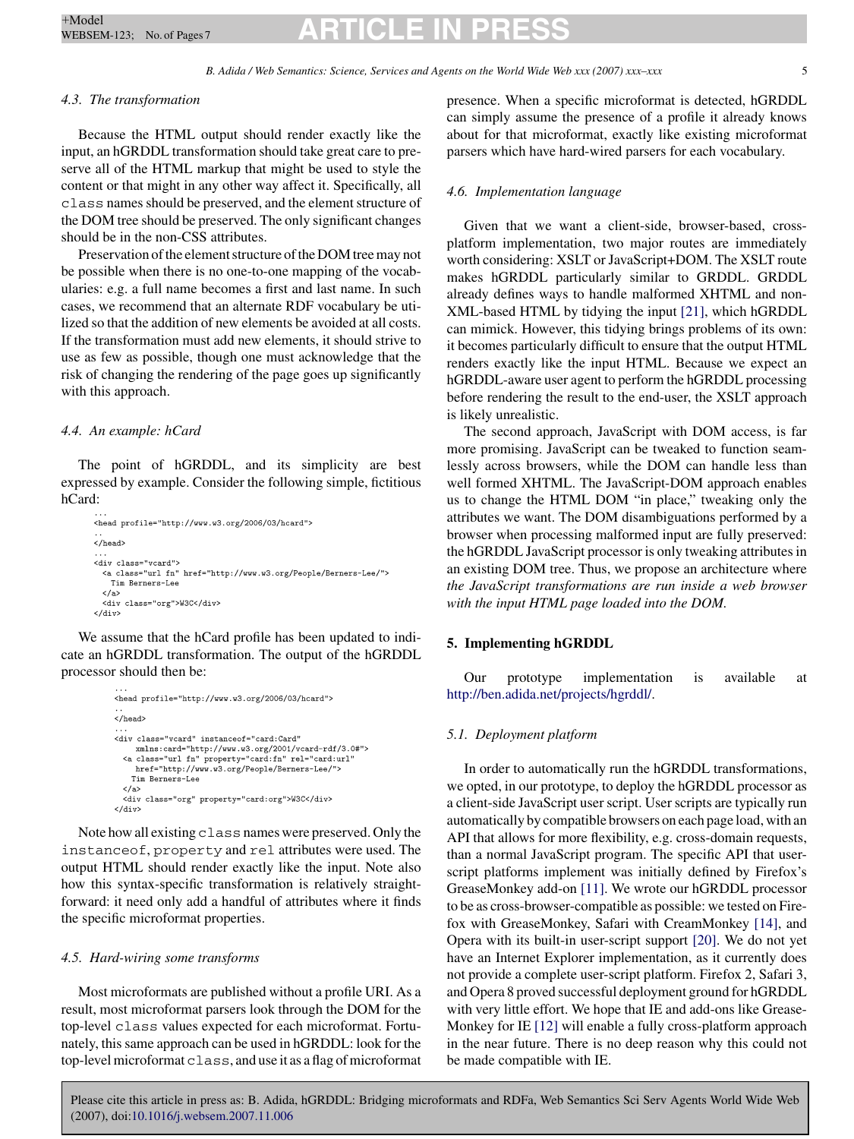# *4.3. The transformation*

Because the HTML output should render exactly like the input, an hGRDDL transformation should take great care to preserve all of the HTML markup that might be used to style the content or that might in any other way affect it. Specifically, all class names should be preserved, and the element structure of the DOM tree should be preserved. The only significant changes should be in the non-CSS attributes.

Preservation of the element structure of the DOM tree may not be possible when there is no one-to-one mapping of the vocabularies: e.g. a full name becomes a first and last name. In such cases, we recommend that an alternate RDF vocabulary be utilized so that the addition of new elements be avoided at all costs. If the transformation must add new elements, it should strive to use as few as possible, though one must acknowledge that the risk of changing the rendering of the page goes up significantly with this approach.

# *4.4. An example: hCard*

The point of hGRDDL, and its simplicity are best expressed by example. Consider the following simple, fictitious hCard:

```
<head profile="http://www.w3.org/2006/03/hcard">
</head>
<div class="vcard">
 <a class="url fn" href="http://www.w3.org/People/Berners-Lee/">
   Tim Berners-Lee
 \langle/a>
 <div class="org">W3C</div>
\langle/div
```
We assume that the hCard profile has been updated to indicate an hGRDDL transformation. The output of the hGRDDL processor should then be:

```
<head profile="http://www.w3.org/2006/03/hcard">
\overline{\langle}/head:
<div class="vcard" instanceof="card:Card"
    xmlns:card="http://www.w3.org/2001/vcard-rdf/3.0#">
  <a class="url fn" property="card:fn" rel="card:url'
    href="http://www.w3.org/People/Berners-Lee/">
   Tim Berners-Lee
 \langle/a>
 <div class="org" property="card:org">W3C</div>
\langle/div
```
Note how all existing class names were preserved. Only the instanceof, property and rel attributes were used. The output HTML should render exactly like the input. Note also how this syntax-specific transformation is relatively straightforward: it need only add a handful of attributes where it finds the specific microformat properties.

# *4.5. Hard-wiring some transforms*

Most microformats are published without a profile URI. As a result, most microformat parsers look through the DOM for the top-level class values expected for each microformat. Fortunately, this same approach can be used in hGRDDL: look for the top-level microformatclass, and use it as a flag of microformat

presence. When a specific microformat is detected, hGRDDL can simply assume the presence of a profile it already knows about for that microformat, exactly like existing microformat parsers which have hard-wired parsers for each vocabulary.

# *4.6. Implementation language*

Given that we want a client-side, browser-based, crossplatform implementation, two major routes are immediately worth considering: XSLT or JavaScript+DOM. The XSLT route makes hGRDDL particularly similar to GRDDL. GRDDL already defines ways to handle malformed XHTML and non-XML-based HTML by tidying the input [\[21\],](#page-6-0) which hGRDDL can mimick. However, this tidying brings problems of its own: it becomes particularly difficult to ensure that the output HTML renders exactly like the input HTML. Because we expect an hGRDDL-aware user agent to perform the hGRDDL processing before rendering the result to the end-user, the XSLT approach is likely unrealistic.

The second approach, JavaScript with DOM access, is far more promising. JavaScript can be tweaked to function seamlessly across browsers, while the DOM can handle less than well formed XHTML. The JavaScript-DOM approach enables us to change the HTML DOM "in place," tweaking only the attributes we want. The DOM disambiguations performed by a browser when processing malformed input are fully preserved: the hGRDDL JavaScript processor is only tweaking attributes in an existing DOM tree. Thus, we propose an architecture where *the JavaScript transformations are run inside a web browser with the input HTML page loaded into the DOM.*

# **5. Implementing hGRDDL**

Our prototype implementation is available at <http://ben.adida.net/projects/hgrddl/>.

# *5.1. Deployment platform*

In order to automatically run the hGRDDL transformations, we opted, in our prototype, to deploy the hGRDDL processor as a client-side JavaScript user script. User scripts are typically run automatically by compatible browsers on each page load, with an API that allows for more flexibility, e.g. cross-domain requests, than a normal JavaScript program. The specific API that userscript platforms implement was initially defined by Firefox's GreaseMonkey add-on [\[11\].](#page-6-0) We wrote our hGRDDL processor to be as cross-browser-compatible as possible: we tested on Firefox with GreaseMonkey, Safari with CreamMonkey [\[14\],](#page-6-0) and Opera with its built-in user-script support [\[20\].](#page-6-0) We do not yet have an Internet Explorer implementation, as it currently does not provide a complete user-script platform. Firefox 2, Safari 3, and Opera 8 proved successful deployment ground for hGRDDL with very little effort. We hope that IE and add-ons like Grease-Monkey for IE [\[12\]](#page-6-0) will enable a fully cross-platform approach in the near future. There is no deep reason why this could not be made compatible with IE.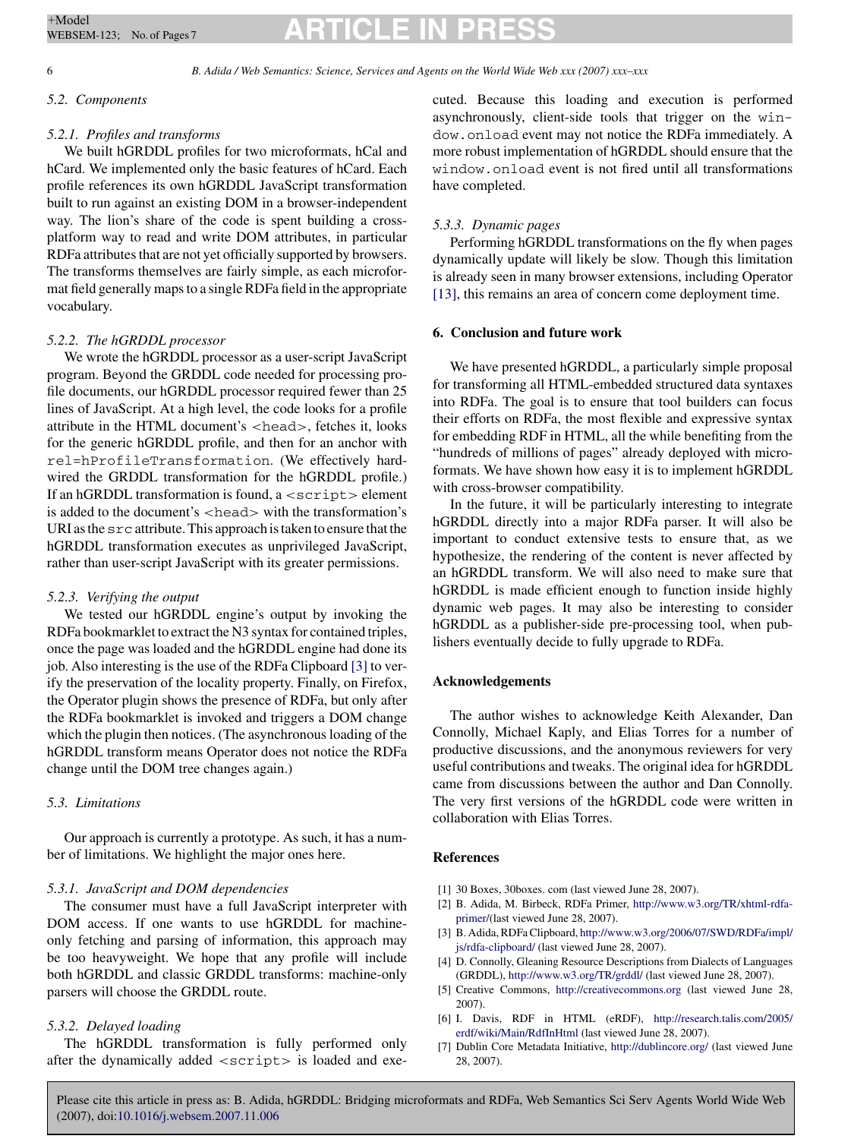#### <span id="page-5-0"></span>6 *B. Adida / Web Semantics: Science, Services and Agents on the World Wide Web xxx (2007) xxx–xxx*

### *5.2. Components*

#### *5.2.1. Profiles and transforms*

We built hGRDDL profiles for two microformats, hCal and hCard. We implemented only the basic features of hCard. Each profile references its own hGRDDL JavaScript transformation built to run against an existing DOM in a browser-independent way. The lion's share of the code is spent building a crossplatform way to read and write DOM attributes, in particular RDFa attributes that are not yet officially supported by browsers. The transforms themselves are fairly simple, as each microformat field generally maps to a single RDFa field in the appropriate vocabulary.

#### *5.2.2. The hGRDDL processor*

We wrote the hGRDDL processor as a user-script JavaScript program. Beyond the GRDDL code needed for processing profile documents, our hGRDDL processor required fewer than 25 lines of JavaScript. At a high level, the code looks for a profile attribute in the HTML document's <head>, fetches it, looks for the generic hGRDDL profile, and then for an anchor with rel=hProfileTransformation. (We effectively hardwired the GRDDL transformation for the hGRDDL profile.) If an hGRDDL transformation is found,  $a \leq s$  cript  $>$  element is added to the document's  $\alpha$  -head with the transformation's URI as the  $src$  attribute. This approach is taken to ensure that the hGRDDL transformation executes as unprivileged JavaScript, rather than user-script JavaScript with its greater permissions.

#### *5.2.3. Verifying the output*

We tested our hGRDDL engine's output by invoking the RDFa bookmarklet to extract the N3 syntax for contained triples, once the page was loaded and the hGRDDL engine had done its job. Also interesting is the use of the RDFa Clipboard [3] to verify the preservation of the locality property. Finally, on Firefox, the Operator plugin shows the presence of RDFa, but only after the RDFa bookmarklet is invoked and triggers a DOM change which the plugin then notices. (The asynchronous loading of the hGRDDL transform means Operator does not notice the RDFa change until the DOM tree changes again.)

### *5.3. Limitations*

Our approach is currently a prototype. As such, it has a number of limitations. We highlight the major ones here.

#### *5.3.1. JavaScript and DOM dependencies*

The consumer must have a full JavaScript interpreter with DOM access. If one wants to use hGRDDL for machineonly fetching and parsing of information, this approach may be too heavyweight. We hope that any profile will include both hGRDDL and classic GRDDL transforms: machine-only parsers will choose the GRDDL route.

## *5.3.2. Delayed loading*

The hGRDDL transformation is fully performed only after the dynamically added  $\leq$ script $>$  is loaded and executed. Because this loading and execution is performed asynchronously, client-side tools that trigger on the window.onload event may not notice the RDFa immediately. A more robust implementation of hGRDDL should ensure that the window.onload event is not fired until all transformations have completed.

#### *5.3.3. Dynamic pages*

Performing hGRDDL transformations on the fly when pages dynamically update will likely be slow. Though this limitation is already seen in many browser extensions, including Operator [\[13\],](#page-6-0) this remains an area of concern come deployment time.

#### **6. Conclusion and future work**

We have presented hGRDDL, a particularly simple proposal for transforming all HTML-embedded structured data syntaxes into RDFa. The goal is to ensure that tool builders can focus their efforts on RDFa, the most flexible and expressive syntax for embedding RDF in HTML, all the while benefiting from the "hundreds of millions of pages" already deployed with microformats. We have shown how easy it is to implement hGRDDL with cross-browser compatibility.

In the future, it will be particularly interesting to integrate hGRDDL directly into a major RDFa parser. It will also be important to conduct extensive tests to ensure that, as we hypothesize, the rendering of the content is never affected by an hGRDDL transform. We will also need to make sure that hGRDDL is made efficient enough to function inside highly dynamic web pages. It may also be interesting to consider hGRDDL as a publisher-side pre-processing tool, when publishers eventually decide to fully upgrade to RDFa.

#### **Acknowledgements**

The author wishes to acknowledge Keith Alexander, Dan Connolly, Michael Kaply, and Elias Torres for a number of productive discussions, and the anonymous reviewers for very useful contributions and tweaks. The original idea for hGRDDL came from discussions between the author and Dan Connolly. The very first versions of the hGRDDL code were written in collaboration with Elias Torres.

### **References**

- [1] 30 Boxes, 30boxes. com (last viewed June 28, 2007).
- [2] B. Adida, M. Birbeck, RDFa Primer, [http://www.w3.org/TR/xhtml-rdfa](http://www.w3.org/TR/xhtml-rdfa-primer/)primer/(last viewed June 28, 2007).
- [3] B. Adida, RDFa Clipboard, [http://www.w3.org/2006/07/SWD/RDFa/impl/](http://www.w3.org/2006/07/SWD/RDFa/impl/js/rdfa-clipboard/) [js/rdfa-clipboard/](http://www.w3.org/2006/07/SWD/RDFa/impl/js/rdfa-clipboard/) (last viewed June 28, 2007).
- [4] D. Connolly, Gleaning Resource Descriptions from Dialects of Languages (GRDDL), <http://www.w3.org/TR/grddl/> (last viewed June 28, 2007).
- [5] Creative Commons, <http://creativecommons.org> (last viewed June 28, 2007).
- [6] I. Davis, RDF in HTML (eRDF), [http://research.talis.com/2005/](http://research.talis.com/2005/erdf/wiki/Main/RdfInHtml) [erdf/wiki/Main/RdfInHtml](http://research.talis.com/2005/erdf/wiki/Main/RdfInHtml) (last viewed June 28, 2007).
- [7] Dublin Core Metadata Initiative, <http://dublincore.org/> (last viewed June 28, 2007).